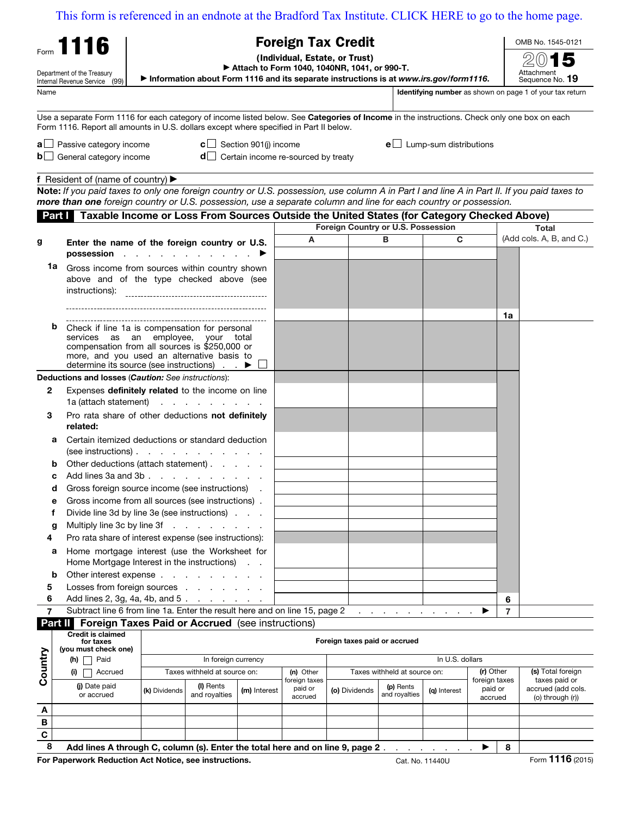[This form is referenced in an endnote at the Bradford Tax Institute. CLICK HERE to go to the home page.](www.bradfordtaxinstitute.com)

|                | This form is referenced in an endnote at the Bradford Tax Institute. CLICK HERE to go to the home page.                                                                                                                               |                                                                                                   |                                                                                                                                       |                                       |                                         |  |                               |                            |                                  |                                     |              |                                                          |  |
|----------------|---------------------------------------------------------------------------------------------------------------------------------------------------------------------------------------------------------------------------------------|---------------------------------------------------------------------------------------------------|---------------------------------------------------------------------------------------------------------------------------------------|---------------------------------------|-----------------------------------------|--|-------------------------------|----------------------------|----------------------------------|-------------------------------------|--------------|----------------------------------------------------------|--|
|                | Form 1116                                                                                                                                                                                                                             |                                                                                                   | <b>Foreign Tax Credit</b>                                                                                                             |                                       | OMB No. 1545-0121                       |  |                               |                            |                                  |                                     |              |                                                          |  |
|                |                                                                                                                                                                                                                                       |                                                                                                   |                                                                                                                                       | (Individual, Estate, or Trust)        |                                         |  |                               |                            |                                  |                                     |              |                                                          |  |
|                | Department of the Treasury                                                                                                                                                                                                            |                                                                                                   | Attach to Form 1040, 1040NR, 1041, or 990-T.<br>Information about Form 1116 and its separate instructions is at www.irs.gov/form1116. |                                       |                                         |  |                               |                            |                                  | Attachment<br>Sequence No. 19       |              |                                                          |  |
| Name           | Internal Revenue Service (99)                                                                                                                                                                                                         |                                                                                                   |                                                                                                                                       |                                       |                                         |  |                               |                            |                                  |                                     |              | Identifying number as shown on page 1 of your tax return |  |
|                |                                                                                                                                                                                                                                       |                                                                                                   |                                                                                                                                       |                                       |                                         |  |                               |                            |                                  |                                     |              |                                                          |  |
|                | Use a separate Form 1116 for each category of income listed below. See Categories of Income in the instructions. Check only one box on each<br>Form 1116. Report all amounts in U.S. dollars except where specified in Part II below. |                                                                                                   |                                                                                                                                       |                                       |                                         |  |                               |                            |                                  |                                     |              |                                                          |  |
|                | $\mathbf{a}$ Passive category income                                                                                                                                                                                                  |                                                                                                   |                                                                                                                                       | <b>c</b> $\Box$ Section 901(j) income |                                         |  |                               |                            | $e$ Lump-sum distributions       |                                     |              |                                                          |  |
|                | $\mathbf{b}$ General category income                                                                                                                                                                                                  |                                                                                                   |                                                                                                                                       |                                       | $d$ Certain income re-sourced by treaty |  |                               |                            |                                  |                                     |              |                                                          |  |
|                | f Resident of (name of country) $\blacktriangleright$                                                                                                                                                                                 |                                                                                                   |                                                                                                                                       |                                       |                                         |  |                               |                            |                                  |                                     |              |                                                          |  |
|                | Note: If you paid taxes to only one foreign country or U.S. possession, use column A in Part I and line A in Part II. If you paid taxes to                                                                                            |                                                                                                   |                                                                                                                                       |                                       |                                         |  |                               |                            |                                  |                                     |              |                                                          |  |
|                | more than one foreign country or U.S. possession, use a separate column and line for each country or possession.                                                                                                                      |                                                                                                   |                                                                                                                                       |                                       |                                         |  |                               |                            |                                  |                                     |              |                                                          |  |
|                | <b>Part   Taxable Income or Loss From Sources Outside the United States (for Category Checked Above)</b><br>Foreign Country or U.S. Possession                                                                                        |                                                                                                   |                                                                                                                                       |                                       |                                         |  |                               |                            |                                  |                                     | <b>Total</b> |                                                          |  |
| g              | Enter the name of the foreign country or U.S.                                                                                                                                                                                         |                                                                                                   |                                                                                                                                       |                                       | A                                       |  | в                             |                            | C                                |                                     |              | (Add cols. A, B, and C.)                                 |  |
|                | possession $\cdots$ $\cdots$                                                                                                                                                                                                          |                                                                                                   |                                                                                                                                       |                                       |                                         |  |                               |                            |                                  |                                     |              |                                                          |  |
| 1a             | instructions):                                                                                                                                                                                                                        | Gross income from sources within country shown<br>above and of the type checked above (see        |                                                                                                                                       |                                       |                                         |  |                               |                            |                                  |                                     |              |                                                          |  |
|                |                                                                                                                                                                                                                                       |                                                                                                   |                                                                                                                                       |                                       |                                         |  |                               |                            |                                  |                                     |              |                                                          |  |
|                | b<br>Check if line 1a is compensation for personal<br>services as an employee, your total<br>compensation from all sources is \$250,000 or<br>more, and you used an alternative basis to                                              |                                                                                                   |                                                                                                                                       |                                       |                                         |  |                               |                            |                                  |                                     | 1a           |                                                          |  |
|                | determine its source (see instructions) ▶<br>Deductions and losses (Caution: See instructions):                                                                                                                                       |                                                                                                   |                                                                                                                                       |                                       |                                         |  |                               |                            |                                  |                                     |              |                                                          |  |
| 2              | Expenses definitely related to the income on line                                                                                                                                                                                     |                                                                                                   |                                                                                                                                       |                                       |                                         |  |                               |                            |                                  |                                     |              |                                                          |  |
|                | $1a$ (attach statement) $\cdots$ $\cdots$ $\cdots$                                                                                                                                                                                    |                                                                                                   |                                                                                                                                       |                                       |                                         |  |                               |                            |                                  |                                     |              |                                                          |  |
| 3              | Pro rata share of other deductions not definitely<br>related:                                                                                                                                                                         |                                                                                                   |                                                                                                                                       |                                       |                                         |  |                               |                            |                                  |                                     |              |                                                          |  |
|                | Certain itemized deductions or standard deduction<br>а<br>$(see$ instructions $). \t \t \t$                                                                                                                                           |                                                                                                   |                                                                                                                                       |                                       |                                         |  |                               |                            |                                  |                                     |              |                                                          |  |
|                |                                                                                                                                                                                                                                       | Other deductions (attach statement)                                                               |                                                                                                                                       |                                       |                                         |  |                               |                            |                                  |                                     |              |                                                          |  |
|                | с                                                                                                                                                                                                                                     | Add lines 3a and 3b                                                                               |                                                                                                                                       |                                       |                                         |  |                               |                            |                                  |                                     |              |                                                          |  |
| е              | d                                                                                                                                                                                                                                     | Gross foreign source income (see instructions)                                                    |                                                                                                                                       |                                       |                                         |  |                               |                            |                                  |                                     |              |                                                          |  |
| f              |                                                                                                                                                                                                                                       | Gross income from all sources (see instructions).<br>Divide line 3d by line 3e (see instructions) |                                                                                                                                       |                                       |                                         |  |                               |                            |                                  |                                     |              |                                                          |  |
| g              | Multiply line 3c by line 3f                                                                                                                                                                                                           |                                                                                                   |                                                                                                                                       |                                       |                                         |  |                               |                            |                                  |                                     |              |                                                          |  |
| 4              | Pro rata share of interest expense (see instructions):                                                                                                                                                                                |                                                                                                   |                                                                                                                                       |                                       |                                         |  |                               |                            |                                  |                                     |              |                                                          |  |
|                | Home mortgage interest (use the Worksheet for<br>а                                                                                                                                                                                    |                                                                                                   |                                                                                                                                       |                                       |                                         |  |                               |                            |                                  |                                     |              |                                                          |  |
| b              | Home Mortgage Interest in the instructions)<br>Other interest expense                                                                                                                                                                 |                                                                                                   |                                                                                                                                       |                                       |                                         |  |                               |                            |                                  |                                     |              |                                                          |  |
| 5              | Losses from foreign sources                                                                                                                                                                                                           |                                                                                                   |                                                                                                                                       |                                       |                                         |  |                               |                            |                                  |                                     |              |                                                          |  |
| 6              | Add lines 2, 3g, 4a, 4b, and 5.                                                                                                                                                                                                       |                                                                                                   |                                                                                                                                       |                                       |                                         |  |                               |                            |                                  |                                     | 6            |                                                          |  |
| $\overline{7}$ | Subtract line 6 from line 1a. Enter the result here and on line 15, page 2                                                                                                                                                            |                                                                                                   |                                                                                                                                       |                                       |                                         |  |                               |                            | and a straightful contract and a | ▶                                   | 7            |                                                          |  |
|                | <b>Part II</b> Foreign Taxes Paid or Accrued (see instructions)<br><b>Credit is claimed</b>                                                                                                                                           |                                                                                                   |                                                                                                                                       |                                       |                                         |  |                               |                            |                                  |                                     |              |                                                          |  |
|                | for taxes<br>(you must check one)                                                                                                                                                                                                     |                                                                                                   |                                                                                                                                       |                                       |                                         |  | Foreign taxes paid or accrued |                            |                                  |                                     |              |                                                          |  |
|                | $(h)$   Paid                                                                                                                                                                                                                          | In foreign currency                                                                               |                                                                                                                                       |                                       |                                         |  | In U.S. dollars               |                            |                                  |                                     |              |                                                          |  |
| Country        | $(i)$ Accrued                                                                                                                                                                                                                         | Taxes withheld at source on:                                                                      |                                                                                                                                       |                                       | (n) Other                               |  |                               |                            | Taxes withheld at source on:     |                                     | (r) Other    | (s) Total foreign<br>taxes paid or                       |  |
|                | (i) Date paid<br>or accrued                                                                                                                                                                                                           | (k) Dividends                                                                                     | (I) Rents<br>and royalties                                                                                                            | (m) Interest                          | foreign taxes<br>paid or<br>accrued     |  | (o) Dividends                 | (p) Rents<br>and royalties | (g) Interest                     | foreign taxes<br>paid or<br>accrued |              | accrued (add cols.<br>(o) through (r))                   |  |
| A              |                                                                                                                                                                                                                                       |                                                                                                   |                                                                                                                                       |                                       |                                         |  |                               |                            |                                  |                                     |              |                                                          |  |
| В              |                                                                                                                                                                                                                                       |                                                                                                   |                                                                                                                                       |                                       |                                         |  |                               |                            |                                  |                                     |              |                                                          |  |
| C              |                                                                                                                                                                                                                                       |                                                                                                   |                                                                                                                                       |                                       |                                         |  |                               |                            |                                  |                                     |              |                                                          |  |
| 8              | Add lines A through C, column (s). Enter the total here and on line 9, page 2.                                                                                                                                                        |                                                                                                   |                                                                                                                                       |                                       |                                         |  |                               |                            |                                  | ▶                                   | 8            |                                                          |  |

For Paperwork Reduction Act Notice, see instructions. Cat. No. 11440U Form 1116 (2015)